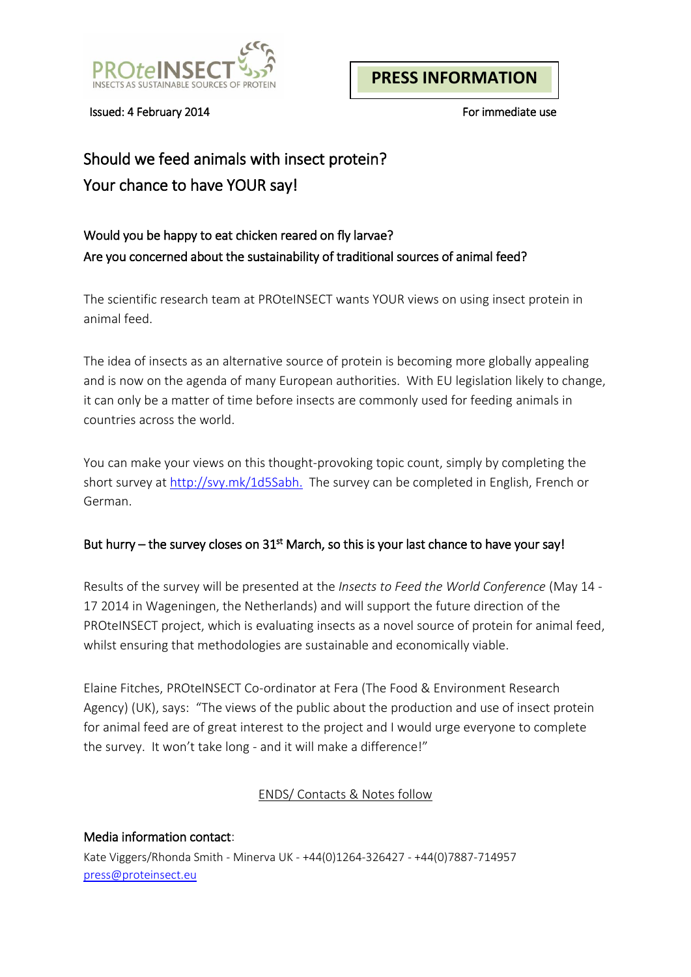

Issued: 4 February 2014 **For immediate use For immediate use** 

# Should we feed animals with insect protein? Your chance to have YOUR say!

## Would you be happy to eat chicken reared on fly larvae? Are you concerned about the sustainability of traditional sources of animal feed?

The scientific research team at PROteINSECT wants YOUR views on using insect protein in animal feed.

The idea of insects as an alternative source of protein is becoming more globally appealing and is now on the agenda of many European authorities. With EU legislation likely to change, it can only be a matter of time before insects are commonly used for feeding animals in countries across the world.

You can make your views on this thought-provoking topic count, simply by completing the short survey at [http://svy.mk/1d5Sabh.](http://svy.mk/1d5Sabh) The survey can be completed in English, French or German.

#### But hurry – the survey closes on 31<sup>st</sup> March, so this is your last chance to have your say!

Results of the survey will be presented at the *Insects to Feed the World Conference* (May 14 - 17 2014 in Wageningen, the Netherlands) and will support the future direction of the PROteINSECT project, which is evaluating insects as a novel source of protein for animal feed, whilst ensuring that methodologies are sustainable and economically viable.

Elaine Fitches, PROteINSECT Co-ordinator at Fera (The Food & Environment Research Agency) (UK), says: "The views of the public about the production and use of insect protein for animal feed are of great interest to the project and I would urge everyone to complete the survey. It won't take long - and it will make a difference!"

### ENDS/ Contacts & Notes follow

Media information contact: Kate Viggers/Rhonda Smith - Minerva UK - +44(0)1264-326427 - +44(0)7887-714957 [press@proteinsect.eu](mailto:press@proteinsect.eu)